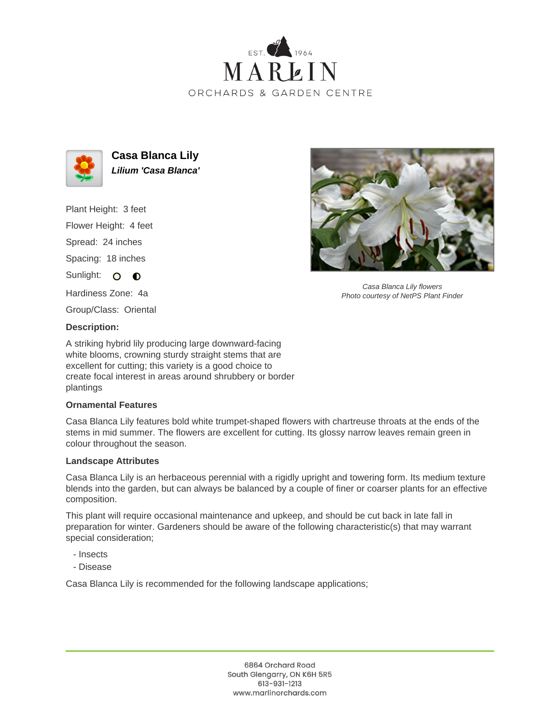



**Casa Blanca Lily Lilium 'Casa Blanca'**

Plant Height: 3 feet Flower Height: 4 feet Spread: 24 inches Spacing: 18 inches Sunlight: O **O** 

Hardiness Zone: 4a

Group/Class: Oriental

## **Description:**

A striking hybrid lily producing large downward-facing white blooms, crowning sturdy straight stems that are excellent for cutting; this variety is a good choice to create focal interest in areas around shrubbery or border plantings

## **Ornamental Features**

Casa Blanca Lily features bold white trumpet-shaped flowers with chartreuse throats at the ends of the stems in mid summer. The flowers are excellent for cutting. Its glossy narrow leaves remain green in colour throughout the season.

## **Landscape Attributes**

Casa Blanca Lily is an herbaceous perennial with a rigidly upright and towering form. Its medium texture blends into the garden, but can always be balanced by a couple of finer or coarser plants for an effective composition.

This plant will require occasional maintenance and upkeep, and should be cut back in late fall in preparation for winter. Gardeners should be aware of the following characteristic(s) that may warrant special consideration;

- Insects
- Disease

Casa Blanca Lily is recommended for the following landscape applications;



Casa Blanca Lily flowers Photo courtesy of NetPS Plant Finder

6864 Orchard Road South Glengarry, ON K6H 5R5 613-931-1213 www.marlinorchards.com